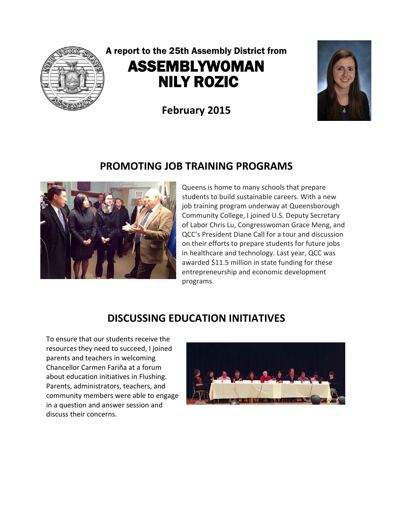

# A report to the 25th Assembly District from ASSEMBLYWOMAN NILY ROZIC

**February 2015**



### **PROMOTING JOB TRAINING PROGRAMS**



Queens is home to many schools that prepare students to build sustainable careers. With a new job training program underway at Queensborough Community College, I joined U.S. Deputy Secretary of Labor Chris Lu, Congresswoman Grace Meng, and QCC's President Diane Call for a tour and discussion on their efforts to prepare students for future jobs in healthcare and technology. Last year, QCC was awarded \$11.5 million in state funding for these entrepreneurship and economic development programs.

## **DISCUSSING EDUCATION INITIATIVES**

To ensure that our students receive the resources they need to succeed, I joined parents and teachers in welcoming Chancellor Carmen Fariña at a forum about education initiatives in Flushing. Parents, administrators, teachers, and community members were able to engage in a question and answer session and discuss their concerns.